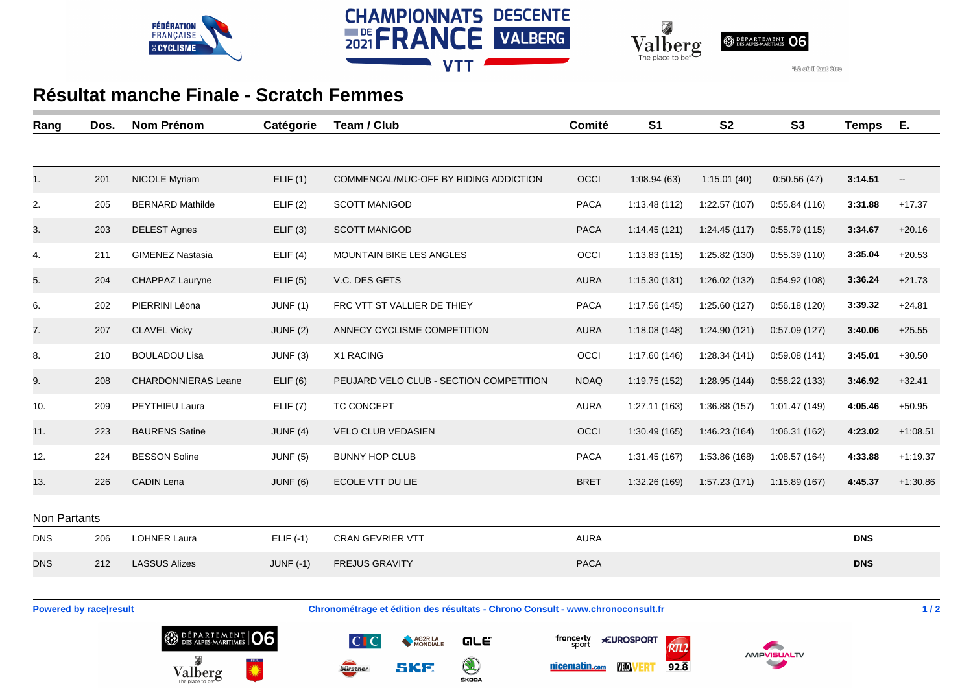





<sup>4</sup>Là cù il faut ture

## **Résultat manche Finale - Scratch Femmes**

| Rang         | Dos. | <b>Nom Prénom</b>          | Catégorie       | Team / Club                             | Comité      | S <sub>1</sub> | <b>S2</b>     | <b>S3</b>     | <b>Temps</b> | Ε.                       |
|--------------|------|----------------------------|-----------------|-----------------------------------------|-------------|----------------|---------------|---------------|--------------|--------------------------|
|              |      |                            |                 |                                         |             |                |               |               |              |                          |
| 1.           | 201  | <b>NICOLE Myriam</b>       | ELIF(1)         | COMMENCAL/MUC-OFF BY RIDING ADDICTION   | OCCI        | 1:08.94(63)    | 1:15.01(40)   | 0:50.56(47)   | 3:14.51      | $\overline{\phantom{a}}$ |
| 2.           | 205  | <b>BERNARD Mathilde</b>    | ELIF(2)         | <b>SCOTT MANIGOD</b>                    | <b>PACA</b> | 1:13.48 (112)  | 1:22.57(107)  | 0:55.84(116)  | 3:31.88      | $+17.37$                 |
| 3.           | 203  | <b>DELEST Agnes</b>        | ELIF(3)         | <b>SCOTT MANIGOD</b>                    | <b>PACA</b> | 1:14.45(121)   | 1:24.45 (117) | 0.55.79(115)  | 3:34.67      | $+20.16$                 |
| 4.           | 211  | <b>GIMENEZ Nastasia</b>    | ELIF(4)         | MOUNTAIN BIKE LES ANGLES                | OCCI        | 1:13.83(115)   | 1:25.82 (130) | 0:55.39(110)  | 3:35.04      | $+20.53$                 |
| 5.           | 204  | CHAPPAZ Lauryne            | ELIF(5)         | V.C. DES GETS                           | <b>AURA</b> | 1:15.30(131)   | 1:26.02 (132) | 0.54.92(108)  | 3:36.24      | $+21.73$                 |
| 6.           | 202  | PIERRINI Léona             | JUNF(1)         | FRC VTT ST VALLIER DE THIEY             | <b>PACA</b> | 1:17.56 (145)  | 1:25.60(127)  | 0:56.18(120)  | 3:39.32      | $+24.81$                 |
| 7.           | 207  | <b>CLAVEL Vicky</b>        | JUNF(2)         | ANNECY CYCLISME COMPETITION             | <b>AURA</b> | 1:18.08(148)   | 1:24.90(121)  | 0.57.09(127)  | 3:40.06      | $+25.55$                 |
| 8.           | 210  | <b>BOULADOU Lisa</b>       | JUNF (3)        | X1 RACING                               | OCCI        | 1:17.60(146)   | 1:28.34(141)  | 0:59.08(141)  | 3:45.01      | $+30.50$                 |
| 9.           | 208  | <b>CHARDONNIERAS Leane</b> | ELIF(6)         | PEUJARD VELO CLUB - SECTION COMPETITION | <b>NOAQ</b> | 1:19.75 (152)  | 1:28.95(144)  | 0:58.22(133)  | 3:46.92      | $+32.41$                 |
| 10.          | 209  | PEYTHIEU Laura             | ELIF(7)         | TC CONCEPT                              | <b>AURA</b> | 1:27.11 (163)  | 1:36.88 (157) | 1:01.47 (149) | 4:05.46      | $+50.95$                 |
| 11.          | 223  | <b>BAURENS Satine</b>      | JUNF $(4)$      | <b>VELO CLUB VEDASIEN</b>               | OCCI        | 1:30.49(165)   | 1:46.23 (164) | 1:06.31(162)  | 4:23.02      | $+1:08.51$               |
| 12.          | 224  | <b>BESSON Soline</b>       | <b>JUNF (5)</b> | <b>BUNNY HOP CLUB</b>                   | <b>PACA</b> | 1:31.45 (167)  | 1:53.86 (168) | 1:08.57(164)  | 4:33.88      | $+1:19.37$               |
| 13.          | 226  | <b>CADIN Lena</b>          | JUNF(6)         | ECOLE VTT DU LIE                        | <b>BRET</b> | 1:32.26 (169)  | 1:57.23 (171) | 1:15.89(167)  | 4:45.37      | $+1:30.86$               |
| Non Partants |      |                            |                 |                                         |             |                |               |               |              |                          |
| <b>DNS</b>   | 206  | <b>LOHNER Laura</b>        | $ELIF(-1)$      | CRAN GEVRIER VTT                        | <b>AURA</b> |                |               |               | <b>DNS</b>   |                          |
| <b>DNS</b>   | 212  | <b>LASSUS Alizes</b>       | JUNF $(-1)$     | <b>FREJUS GRAVITY</b>                   | <b>PACA</b> |                |               |               | <b>DNS</b>   |                          |
|              |      |                            |                 |                                         |             |                |               |               |              |                          |

**Powered by race|result Chronométrage et édition des résultats - Chrono Consult - www.chronoconsult.fr 1/2** 

**QLE** 

 $\bigcirc$ 

ŠKODA

AG2R LA

SKF.